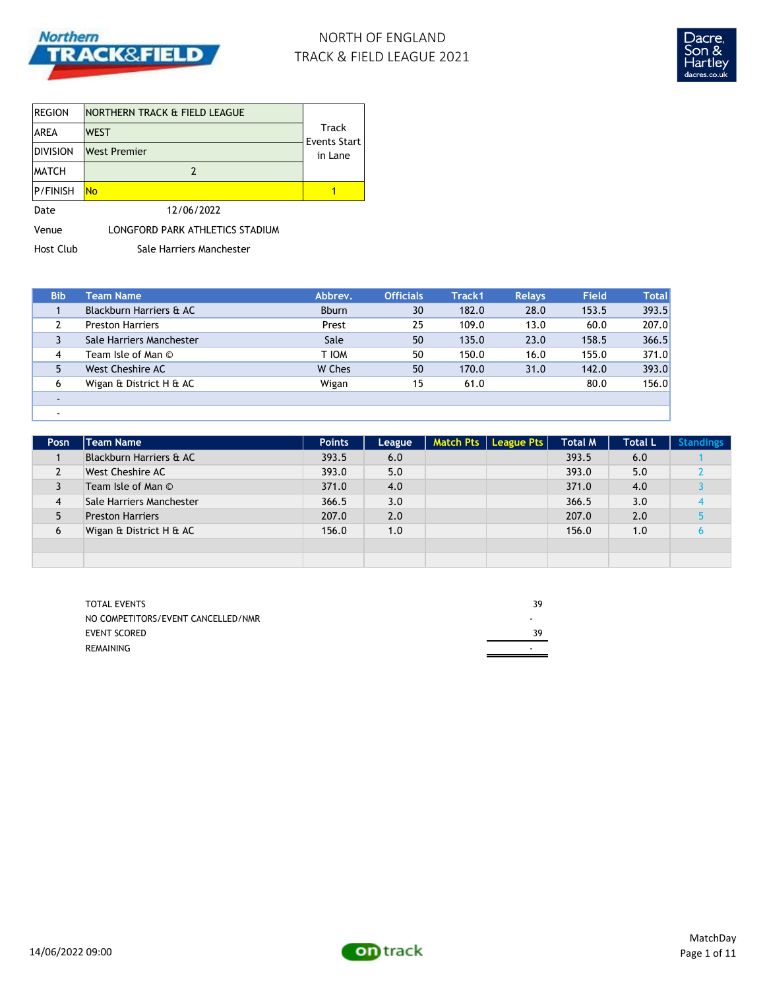

# NORTH OF ENGLAND TRACK & FIELD LEAGUE 2021



| <b>REGION</b>   | NORTHERN TRACK & FIELD LEAGUE   |                         |
|-----------------|---------------------------------|-------------------------|
| <b>AREA</b>     | Track<br><b>WEST</b>            |                         |
| <b>DIVISION</b> | <b>West Premier</b>             | Events Start<br>in Lane |
| <b>MATCH</b>    |                                 |                         |
| <b>P/FINISH</b> | <b>No</b>                       |                         |
| Date            | 12/06/2022                      |                         |
| Venue           | LONGFORD PARK ATHLETICS STADIUM |                         |

Host Club Sale Harriers Manchester

| <b>Bib</b> | Team Name                | Abbrev.      | <b>Officials</b> | Track1 | <b>Relays</b> | <b>Field</b> | <b>Total</b> |
|------------|--------------------------|--------------|------------------|--------|---------------|--------------|--------------|
|            | Blackburn Harriers & AC  | <b>Bburn</b> | 30               | 182.0  | 28.0          | 153.5        | 393.5        |
|            | <b>Preston Harriers</b>  | Prest        | 25               | 109.0  | 13.0          | 60.0         | 207.0        |
|            | Sale Harriers Manchester | Sale         | 50               | 135.0  | 23.0          | 158.5        | 366.5        |
| 4          | Team Isle of Man ©       | T IOM        | 50               | 150.0  | 16.0          | 155.0        | 371.0        |
| 5          | West Cheshire AC         | W Ches       | 50               | 170.0  | 31.0          | 142.0        | 393.0        |
| 6          | Wigan & District H & AC  | Wigan        | 15               | 61.0   |               | 80.0         | 156.0        |
|            |                          |              |                  |        |               |              |              |
|            |                          |              |                  |        |               |              |              |

| Posn | Team Name                | <b>Points</b> | League | Match Pts   League Pts | <b>Total M</b> | <b>Total L</b> | <b>Standings</b> |
|------|--------------------------|---------------|--------|------------------------|----------------|----------------|------------------|
|      | Blackburn Harriers & AC  | 393.5         | 6.0    |                        | 393.5          | 6.0            |                  |
|      | <b>West Cheshire AC</b>  | 393.0         | 5.0    |                        | 393.0          | 5.0            |                  |
| 3    | Team Isle of Man ©       | 371.0         | 4.0    |                        | 371.0          | 4.0            |                  |
| 4    | Sale Harriers Manchester | 366.5         | 3.0    |                        | 366.5          | 3.0            |                  |
| 5    | <b>Preston Harriers</b>  | 207.0         | 2.0    |                        | 207.0          | 2.0            |                  |
| 6    | Wigan & District H & AC  | 156.0         | 1.0    |                        | 156.0          | 1.0            |                  |
|      |                          |               |        |                        |                |                |                  |
|      |                          |               |        |                        |                |                |                  |

| <b>TOTAL EVENTS</b>                | 39 |
|------------------------------------|----|
| NO COMPETITORS/EVENT CANCELLED/NMR |    |
| EVENT SCORED                       | 39 |
| REMAINING                          |    |

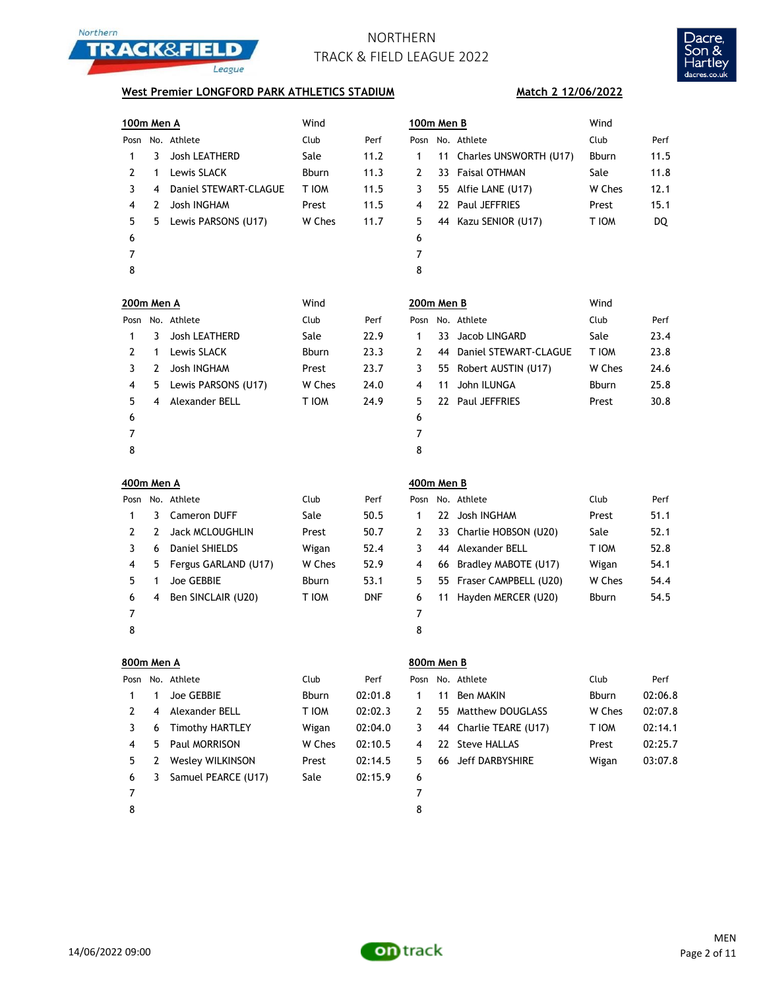



### **West Premier LONGFORD PARK ATHLETICS STADIUM**

| 100m Men A |                          |                         | Wind         |         | 100m Men B     |    |                           | Wind         |       |
|------------|--------------------------|-------------------------|--------------|---------|----------------|----|---------------------------|--------------|-------|
|            |                          | Posn No. Athlete        | Club         | Perf    |                |    | Posn No. Athlete          | Club         | Perf  |
| 1          | 3                        | Josh LEATHERD           | Sale         | 11.2    | 1              |    | 11 Charles UNSWORTH (U17) | Bburn        | 11.5  |
| 2          | 1                        | Lewis SLACK             | Bburn        | 11.3    | 2              |    | 33 Faisal OTHMAN          | Sale         | 11.8  |
| 3          | 4                        | Daniel STEWART-CLAGUE   | T IOM        | 11.5    | 3              |    | 55 Alfie LANE (U17)       | W Ches       | 12.1  |
| 4          | 2                        | Josh INGHAM             | Prest        | 11.5    | 4              |    | 22 Paul JEFFRIES          | Prest        | 15.1  |
| 5          | 5                        | Lewis PARSONS (U17)     | W Ches       | 11.7    | 5              |    | 44 Kazu SENIOR (U17)      | T IOM        | DQ    |
| 6          |                          |                         |              |         | 6              |    |                           |              |       |
| 7          |                          |                         |              |         | 7              |    |                           |              |       |
| 8          |                          |                         |              |         | 8              |    |                           |              |       |
| 200m Men A |                          |                         | Wind         |         | 200m Men B     |    |                           | Wind         |       |
|            |                          | Posn No. Athlete        | Club         | Perf    |                |    | Posn No. Athlete          | Club         | Perf  |
| 1          | 3                        | Josh LEATHERD           | Sale         | 22.9    | 1              |    | 33 Jacob LINGARD          | Sale         | 23.4  |
| 2          | 1                        | Lewis SLACK             | Bburn        | 23.3    | 2              |    | 44 Daniel STEWART-CLAGUE  | T IOM        | 23.8  |
| 3          | 2                        | Josh INGHAM             | Prest        | 23.7    | 3              |    | 55 Robert AUSTIN (U17)    | W Ches       | 24.6  |
| 4          | 5                        | Lewis PARSONS (U17)     | W Ches       | 24.0    | 4              | 11 | John ILUNGA               | Bburn        | 25.8  |
| 5          | 4                        | Alexander BELL          | T IOM        | 24.9    | 5              |    | 22 Paul JEFFRIES          | Prest        | 30.8  |
| 6          |                          |                         |              |         | 6              |    |                           |              |       |
| 7          |                          |                         |              |         | 7              |    |                           |              |       |
| 8          |                          |                         |              |         | 8              |    |                           |              |       |
| 400m Men A |                          |                         |              |         | 400m Men B     |    |                           |              |       |
|            |                          | Posn No. Athlete        | Club         | Perf    |                |    | Posn No. Athlete          | Club         | Perf  |
| 1          | 3                        | <b>Cameron DUFF</b>     | Sale         | 50.5    | 1              |    | 22 Josh INGHAM            | Prest        | 51.1  |
| 2          | 2                        | Jack MCLOUGHLIN         | Prest        | 50.7    | 2              |    | 33 Charlie HOBSON (U20)   | Sale         | 52.1  |
| 3          | 6                        | Daniel SHIELDS          | Wigan        | 52.4    | 3              |    | 44 Alexander BELL         | T IOM        | 52.8  |
| 4          | 5                        | Fergus GARLAND (U17)    | W Ches       | 52.9    | 4              |    | 66 Bradley MABOTE (U17)   | Wigan        | 54.1  |
| 5          | 1                        | Joe GEBBIE              | Bburn        | 53.1    | 5              |    | 55 Fraser CAMPBELL (U20)  | W Ches       | 54.4  |
| 6          | 4                        | Ben SINCLAIR (U20)      | T IOM        | DNF     | 6              | 11 | Hayden MERCER (U20)       | Bburn        | 54.5  |
| 7          |                          |                         |              |         | 7              |    |                           |              |       |
| 8          |                          |                         |              |         | 8              |    |                           |              |       |
| 800m Men A |                          |                         |              |         | 800m Men B     |    |                           |              |       |
| Posn       |                          | No. Athlete             | Club         | Perf    | Posn           |    | No. Athlete               | Club         | Perf  |
| 1          | 1                        | Joe GEBBIE              | <b>Bburn</b> | 02:01.8 | 1              | 11 | <b>Ben MAKIN</b>          | <b>Bburn</b> | 02:06 |
| 2          | $\overline{\mathcal{A}}$ | Alexander BELL          | T IOM        | 02:02.3 | 2              |    | 55 Matthew DOUGLASS       | W Ches       | 02:07 |
| 3          | 6                        | <b>Timothy HARTLEY</b>  | Wigan        | 02:04.0 | 3              |    | 44 Charlie TEARE (U17)    | T IOM        | 02:14 |
| 4          | 5                        | Paul MORRISON           | W Ches       | 02:10.5 | 4              |    | 22 Steve HALLAS           | Prest        | 02:25 |
| 5          | 2                        | <b>Wesley WILKINSON</b> | Prest        | 02:14.5 | 5              |    | 66 Jeff DARBYSHIRE        | Wigan        | 03:07 |
| 6          | 3                        | Samuel PEARCE (U17)     | Sale         | 02:15.9 | 6              |    |                           |              |       |
| ⇁          |                          |                         |              |         | $\overline{ }$ |    |                           |              |       |

- 
- 

**Match 2 12/06/2022**

| sn | No. Athlete               | Club   | Perf |
|----|---------------------------|--------|------|
|    | 11 Charles UNSWORTH (U17) | Bburn  | 11.5 |
|    | 33 Faisal OTHMAN          | Sale   | 11.8 |
|    | 55 Alfie LANE (U17)       | W Ches | 12.1 |
|    | 22 Paul JEFFRIES          | Prest  | 15.1 |
|    | 44 Kazu SENIOR (U17)      | T IOM  | DQ   |
|    |                           |        |      |
|    |                           |        |      |
|    |                           |        |      |

|               | :00m Men B |                          | Wind   |      |
|---------------|------------|--------------------------|--------|------|
|               |            | Posn No. Athlete         | Club   | Perf |
| 1             |            | 33 Jacob LINGARD         | Sale   | 23.4 |
| $\mathcal{P}$ |            | 44 Daniel STEWART-CLAGUE | T IOM  | 23.8 |
| 3             |            | 55 Robert AUSTIN (U17)   | W Ches | 24.6 |
| 4             | 11         | John ILUNGA              | Bburn  | 25.8 |
| 5             |            | 22 Paul JEFFRIES         | Prest  | 30.8 |
| 6             |            |                          |        |      |
| ⇁             |            |                          |        |      |

| osn' |    | No. Athlete              | Club         | Perf |
|------|----|--------------------------|--------------|------|
| 1    |    | 22 Josh INGHAM           | Prest        | 51.1 |
| 2    |    | 33 Charlie HOBSON (U20)  | Sale         | 52.1 |
| 3    |    | 44 Alexander BELL        | T IOM        | 52.8 |
| 4    | 66 | Bradley MABOTE (U17)     | Wigan        | 54.1 |
| 5    |    | 55 Fraser CAMPBELL (U20) | W Ches       | 54.4 |
| 6    | 11 | Hayden MERCER (U20)      | <b>Bburn</b> | 54.5 |
| 7    |    |                          |              |      |
| C    |    |                          |              |      |

|               | 800m Men A |                         |              |         |    | 800m Men B |                        |              |         |  |  |
|---------------|------------|-------------------------|--------------|---------|----|------------|------------------------|--------------|---------|--|--|
|               |            | Posn No. Athlete        | Club         | Perf    |    |            | Posn No. Athlete       | Club         | Perf    |  |  |
|               |            | Joe GEBBIE              | <b>Bburn</b> | 02:01.8 | 1. |            | 11 Ben MAKIN           | <b>Bburn</b> | 02:06.8 |  |  |
| $\mathcal{L}$ | 4          | Alexander BELL          | T IOM        | 02:02.3 | 2  |            | 55 Matthew DOUGLASS    | W Ches       | 02:07.8 |  |  |
| 3             | 6          | <b>Timothy HARTLEY</b>  | Wigan        | 02:04.0 | 3. |            | 44 Charlie TEARE (U17) | T IOM        | 02:14.1 |  |  |
| 4             | 5          | Paul MORRISON           | W Ches       | 02:10.5 | 4  |            | 22 Steve HALLAS        | Prest        | 02:25.7 |  |  |
| 5.            |            | <b>Wesley WILKINSON</b> | Prest        | 02:14.5 | 5. |            | 66 Jeff DARBYSHIRE     | Wigan        | 03:07.8 |  |  |
| 6             | 3          | Samuel PEARCE (U17)     | Sale         | 02:15.9 | 6  |            |                        |              |         |  |  |
| 7             |            |                         |              |         |    |            |                        |              |         |  |  |
| 8             |            |                         |              |         | 8  |            |                        |              |         |  |  |

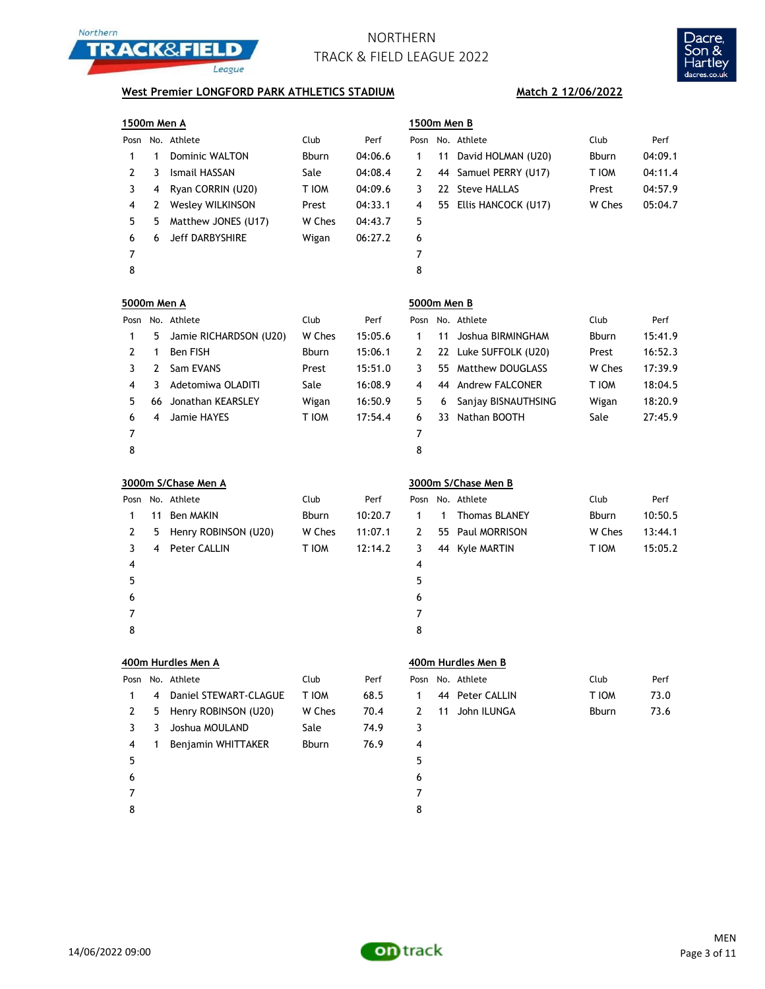



## **West Premier LONGFORD PARK ATHLETICS STADIUM** Match 2 12/06/2022

| 1500m Men A        |    |                        |        |         | 1500m Men B |    |                        |        |         |
|--------------------|----|------------------------|--------|---------|-------------|----|------------------------|--------|---------|
|                    |    | Posn No. Athlete       | Club   | Perf    |             |    | Posn No. Athlete       | Club   | Perf    |
| 1                  | 1  | Dominic WALTON         | Bburn  | 04:06.6 | 1           |    | 11 David HOLMAN (U20)  | Bburn  | 04:09.1 |
| 2                  | 3  | Ismail HASSAN          | Sale   | 04:08.4 | 2           |    | 44 Samuel PERRY (U17)  | T IOM  | 04:11.4 |
| 3                  | 4  | Ryan CORRIN (U20)      | T IOM  | 04:09.6 | 3           |    | 22 Steve HALLAS        | Prest  | 04:57.9 |
| 4                  | 2  | Wesley WILKINSON       | Prest  | 04:33.1 | 4           |    | 55 Ellis HANCOCK (U17) | W Ches | 05:04.7 |
| 5                  | 5  | Matthew JONES (U17)    | W Ches | 04:43.7 | 5           |    |                        |        |         |
| 6                  | 6  | <b>Jeff DARBYSHIRE</b> | Wigan  | 06:27.2 | 6           |    |                        |        |         |
| 7                  |    |                        |        |         | 7           |    |                        |        |         |
| 8                  |    |                        |        |         | 8           |    |                        |        |         |
| <u>5000m Men A</u> |    |                        |        |         | 5000m Men B |    |                        |        |         |
|                    |    | Posn No. Athlete       | Club   | Perf    |             |    | Posn No. Athlete       | Club   | Perf    |
| 1                  | 5  | Jamie RICHARDSON (U20) | W Ches | 15:05.6 | 1           | 11 | Joshua BIRMINGHAM      | Bburn  | 15:41.9 |
| 2                  | 1  | Ben FISH               | Bburn  | 15:06.1 | 2           |    | 22 Luke SUFFOLK (U20)  | Prest  | 16:52.3 |
| 3                  | 2  | Sam EVANS              | Prest  | 15:51.0 | 3           |    | 55 Matthew DOUGLASS    | W Ches | 17:39.9 |
| 4                  | 3  | Adetomiwa OLADITI      | Sale   | 16:08.9 | 4           |    | 44 Andrew FALCONER     | T IOM  | 18:04.5 |
| 5                  | 66 | Jonathan KEARSLEY      | Wigan  | 16:50.9 | 5           | 6  | Sanjay BISNAUTHSING    | Wigan  | 18:20.9 |
| 6                  | 4  | Jamie HAYES            | T IOM  | 17:54.4 | 6           |    | 33 Nathan BOOTH        | Sale   | 27:45.9 |
| 7                  |    |                        |        |         | 7           |    |                        |        |         |
| 8                  |    |                        |        |         | 8           |    |                        |        |         |
|                    |    | 3000m S/Chase Men A    |        |         |             |    | 3000m S/Chase Men B    |        |         |
|                    |    | Posn No. Athlete       | Club   | Perf    |             |    | Posn No. Athlete       | Club   | Perf    |
| 1                  |    | 11 Ben MAKIN           | Bburn  | 10:20.7 | 1           | 1  | <b>Thomas BLANEY</b>   | Bburn  | 10:50.5 |
| 2                  | 5  | Henry ROBINSON (U20)   | W Ches | 11:07.1 | 2           |    | 55 Paul MORRISON       | W Ches | 13:44.1 |
| 3                  | 4  | Peter CALLIN           | T IOM  | 12:14.2 | 3           |    | 44 Kyle MARTIN         | T IOM  | 15:05.2 |
| 4                  |    |                        |        |         | 4           |    |                        |        |         |
| 5                  |    |                        |        |         | 5           |    |                        |        |         |
| 6                  |    |                        |        |         | 6           |    |                        |        |         |
| 7                  |    |                        |        |         | 7           |    |                        |        |         |
| 8                  |    |                        |        |         | 8           |    |                        |        |         |
|                    |    | 400m Hurdles Men A     |        |         |             |    | 400m Hurdles Men B     |        |         |
|                    |    | Posn No. Athlete       | Club   | Perf    |             |    | Posn No. Athlete       | Club   | Perf    |
| 1                  | 4  | Daniel STEWART-CLAGUE  | T IOM  | 68.5    | 1           |    | 44 Peter CALLIN        | T IOM  | 73.0    |
| 2                  | 5  | Henry ROBINSON (U20)   | W Ches | 70.4    | 2           |    | 11 John ILUNGA         | Bburn  | 73.6    |
| 3                  | 3  | Joshua MOULAND         | Sale   | 74.9    | 3           |    |                        |        |         |
| 4                  | 1  | Benjamin WHITTAKER     | Bburn  | 76.9    | 4           |    |                        |        |         |
| 5                  |    |                        |        |         | 5           |    |                        |        |         |
| 6                  |    |                        |        |         | 6           |    |                        |        |         |

 7 8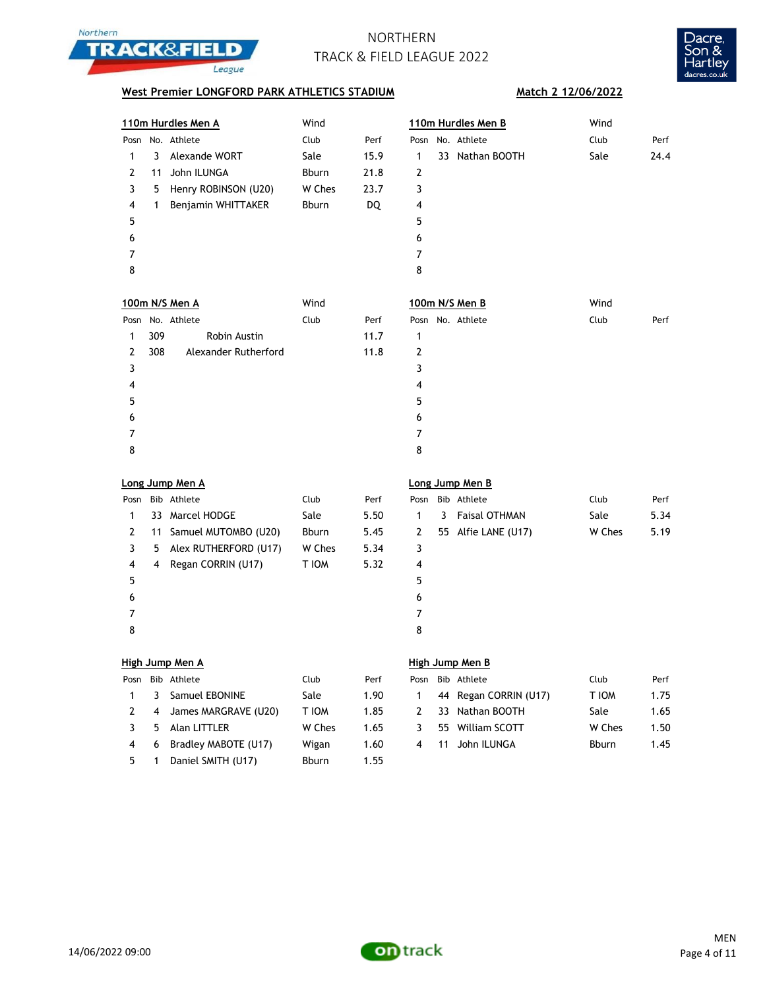



## **West Premier LONGFORD PARK ATHLETICS STADIUM** Match 2 12/06/2022

|                |     | 110m Hurdles Men A      | Wind         |      |              |    | 110m Hurdles Men B    | Wind   |      |
|----------------|-----|-------------------------|--------------|------|--------------|----|-----------------------|--------|------|
| Posn           |     | No. Athlete             | Club         | Perf |              |    | Posn No. Athlete      | Club   | Perf |
| $\mathbf{1}$   | 3   | Alexande WORT           | Sale         | 15.9 | 1            |    | 33 Nathan BOOTH       | Sale   | 24.4 |
| $\mathbf{2}$   | 11  | John ILUNGA             | Bburn        | 21.8 | $\mathbf{2}$ |    |                       |        |      |
| 3              | 5   | Henry ROBINSON (U20)    | W Ches       | 23.7 | 3            |    |                       |        |      |
| 4              | 1   | Benjamin WHITTAKER      | Bburn        | DQ   | 4            |    |                       |        |      |
| 5              |     |                         |              |      | 5            |    |                       |        |      |
| 6              |     |                         |              |      | 6            |    |                       |        |      |
| 7              |     |                         |              |      | 7            |    |                       |        |      |
| 8              |     |                         |              |      | 8            |    |                       |        |      |
|                |     | 100m N/S Men A          | Wind         |      |              |    | 100m N/S Men B        | Wind   |      |
|                |     | Posn No. Athlete        | Club         | Perf |              |    | Posn No. Athlete      | Club   | Perf |
| 1              | 309 | Robin Austin            |              | 11.7 | 1            |    |                       |        |      |
| 2              | 308 | Alexander Rutherford    |              | 11.8 | 2            |    |                       |        |      |
| 3              |     |                         |              |      | 3            |    |                       |        |      |
| $\overline{4}$ |     |                         |              |      | 4            |    |                       |        |      |
| 5              |     |                         |              |      | 5            |    |                       |        |      |
| 6              |     |                         |              |      | 6            |    |                       |        |      |
| 7              |     |                         |              |      | 7            |    |                       |        |      |
| 8              |     |                         |              |      | 8            |    |                       |        |      |
|                |     | Long Jump Men A         |              |      |              |    | Long Jump Men B       |        |      |
| Posn           |     | Bib Athlete             | Club         | Perf | Posn         |    | Bib Athlete           | Club   | Perf |
| 1              |     | 33 Marcel HODGE         | Sale         | 5.50 | 1            | 3  | <b>Faisal OTHMAN</b>  | Sale   | 5.34 |
| $\overline{2}$ |     | 11 Samuel MUTOMBO (U20) | Bburn        | 5.45 | 2            |    | 55 Alfie LANE (U17)   | W Ches | 5.19 |
| 3              | 5   | Alex RUTHERFORD (U17)   | W Ches       | 5.34 | 3            |    |                       |        |      |
| 4              | 4   | Regan CORRIN (U17)      | <b>NOIT</b>  | 5.32 | 4            |    |                       |        |      |
| 5              |     |                         |              |      | 5            |    |                       |        |      |
| 6              |     |                         |              |      | 6            |    |                       |        |      |
| 7              |     |                         |              |      | 7            |    |                       |        |      |
| 8              |     |                         |              |      | 8            |    |                       |        |      |
|                |     | High Jump Men A         |              |      |              |    | High Jump Men B       |        |      |
|                |     | Posn Bib Athlete        | Club         | Perf |              |    | Posn Bib Athlete      | Club   | Perf |
| $\mathbf{1}$   | 3   | Samuel EBONINE          | Sale         | 1.90 | $\mathbf{1}$ |    | 44 Regan CORRIN (U17) | T IOM  | 1.75 |
| 2              | 4   | James MARGRAVE (U20)    | <b>NOI T</b> | 1.85 | 2            |    | 33 Nathan BOOTH       | Sale   | 1.65 |
|                |     |                         |              |      |              |    |                       |        |      |
| 3              | 5   | Alan LITTLER            | W Ches       | 1.65 | 3            |    | 55 William SCOTT      | W Ches | 1.50 |
| $\overline{4}$ | 6   | Bradley MABOTE (U17)    | Wigan        | 1.60 | 4            | 11 | John ILUNGA           | Bburn  | 1.45 |

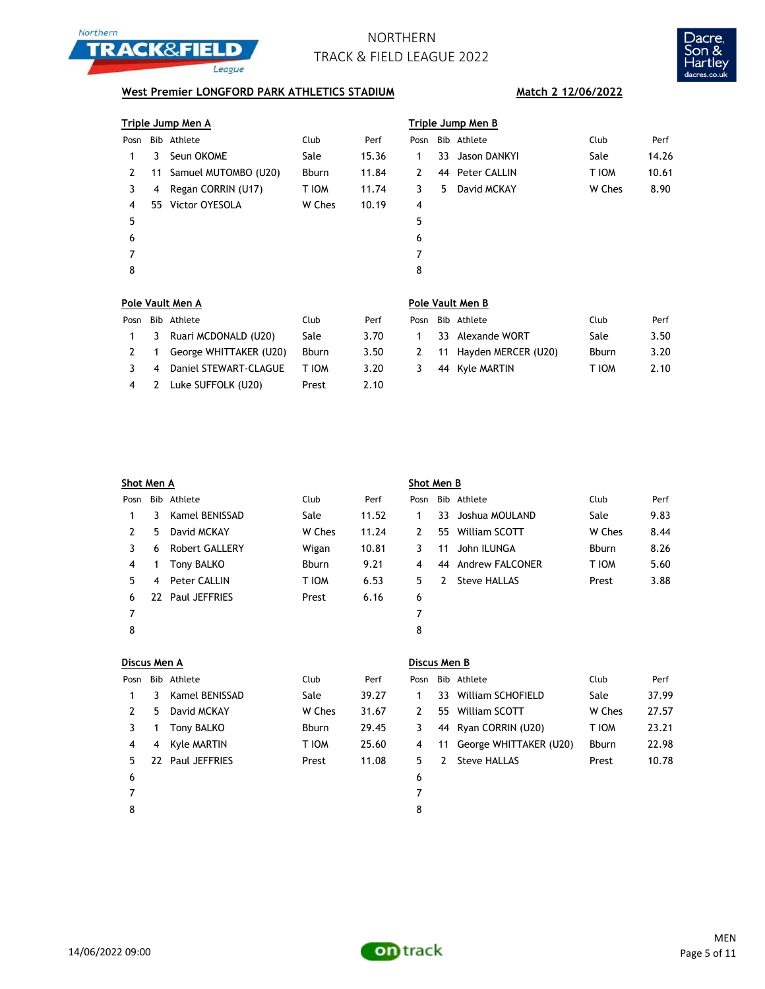



## **West Premier LONGFORD PARK ATHLETICS STADIUM** Match 2 12/06/2022

|      |   | Triple Jump Men A       |        |       | Triple Jump Men B |    |                 |        |       |  |  |
|------|---|-------------------------|--------|-------|-------------------|----|-----------------|--------|-------|--|--|
| Posn |   | Bib Athlete             | Club   | Perf  | Posn              |    | Bib Athlete     | Club   | Perf  |  |  |
| 1.   | 3 | Seun OKOME              | Sale   | 15.36 | 1                 |    | 33 Jason DANKYI | Sale   | 14.26 |  |  |
| 2    |   | 11 Samuel MUTOMBO (U20) | Bburn  | 11.84 | 2                 |    | 44 Peter CALLIN | T IOM  | 10.61 |  |  |
| 3    | 4 | Regan CORRIN (U17)      | T IOM  | 11.74 | 3                 | 5. | David MCKAY     | W Ches | 8.90  |  |  |
| 4    |   | 55 Victor OYESOLA       | W Ches | 10.19 | 4                 |    |                 |        |       |  |  |
| 5    |   |                         |        |       | 5                 |    |                 |        |       |  |  |
| 6    |   |                         |        |       | 6                 |    |                 |        |       |  |  |
|      |   |                         |        |       | 7                 |    |                 |        |       |  |  |
| 8    |   |                         |        |       | 8                 |    |                 |        |       |  |  |
|      |   |                         |        |       |                   |    |                 |        |       |  |  |

|                |    | Pole Vault Men A       |              |      | Pole Vault Men B |  |                        |              |      |  |  |
|----------------|----|------------------------|--------------|------|------------------|--|------------------------|--------------|------|--|--|
| Posn           |    | Bib Athlete            | Club         | Perf | Posn             |  | Bib Athlete            | Club         | Perf |  |  |
| $\overline{1}$ | -3 | Ruari MCDONALD (U20)   | Sale         | 3.70 |                  |  | 33 Alexande WORT       | Sale         | 3.50 |  |  |
|                |    | George WHITTAKER (U20) | <b>Bburn</b> | 3.50 | 2                |  | 11 Hayden MERCER (U20) | <b>Bburn</b> | 3.20 |  |  |
|                | 4  | Daniel STEWART-CLAGUE  | T IOM        | 3.20 | 3                |  | 44 Kyle MARTIN         | T IOM        | 2.10 |  |  |
| 4              |    | Luke SUFFOLK (U20)     | Prest        | 2.10 |                  |  |                        |              |      |  |  |

| Shot Men A |     |                |              |       | Shot Men B |     |                 |              |      |  |  |
|------------|-----|----------------|--------------|-------|------------|-----|-----------------|--------------|------|--|--|
| Posn       |     | Bib Athlete    | Club         | Perf  | Posn       |     | Bib Athlete     | Club         | Perf |  |  |
|            | 3.  | Kamel BENISSAD | Sale         | 11.52 |            | 33. | Joshua MOULAND  | Sale         | 9.83 |  |  |
| 2          | 5.  | David MCKAY    | W Ches       | 11.24 | 2          | 55  | William SCOTT   | W Ches       | 8.44 |  |  |
| 3          | 6   | Robert GALLERY | Wigan        | 10.81 | 3          | 11  | John ILUNGA     | <b>Bburn</b> | 8.26 |  |  |
| 4          |     | Tony BALKO     | <b>Bburn</b> | 9.21  | 4          | 44  | Andrew FALCONER | T IOM        | 5.60 |  |  |
| 5          | 4   | Peter CALLIN   | T IOM        | 6.53  | 5.         | 2   | Steve HALLAS    | Prest        | 3.88 |  |  |
| 6          | 22. | Paul JEFFRIES  | Prest        | 6.16  | 6          |     |                 |              |      |  |  |
| 7          |     |                |              |       | 7          |     |                 |              |      |  |  |
| 8          |     |                |              |       | 8          |     |                 |              |      |  |  |
|            |     |                |              |       |            |     |                 |              |      |  |  |

| Discus Men A |    |                |              |       | Discus Men B |               |                           |              |       |  |  |
|--------------|----|----------------|--------------|-------|--------------|---------------|---------------------------|--------------|-------|--|--|
| Posn         |    | Bib Athlete    | Club         | Perf  | Posn         |               | Bib Athlete               | Club         | Perf  |  |  |
| 1            |    | Kamel BENISSAD | Sale         | 39.27 |              |               | 33 William SCHOFIELD      | Sale         | 37.99 |  |  |
| 2            | 5. | David MCKAY    | W Ches       | 31.67 | 2            |               | 55 William SCOTT          | W Ches       | 27.57 |  |  |
|              |    | Tony BALKO     | <b>Bburn</b> | 29.45 | 3            |               | 44 Ryan CORRIN (U20)      | T IOM        | 23.21 |  |  |
| 4            | 4  | Kyle MARTIN    | T IOM        | 25.60 | 4            |               | 11 George WHITTAKER (U20) | <b>Bburn</b> | 22.98 |  |  |
| 5.           | 22 | Paul JEFFRIES  | Prest        | 11.08 | 5.           | $\mathcal{L}$ | <b>Steve HALLAS</b>       | Prest        | 10.78 |  |  |
| 6            |    |                |              |       | 6            |               |                           |              |       |  |  |
| 7            |    |                |              |       |              |               |                           |              |       |  |  |
| 8            |    |                |              |       | 8            |               |                           |              |       |  |  |

### **Discus Men A Discus Men B**

| Posn | Bib Athlete               | Club         | Perf  |
|------|---------------------------|--------------|-------|
| 1    | 33 William SCHOFIELD      | Sale         | 37.99 |
| 2    | 55 William SCOTT          | W Ches       | 27.57 |
| 3    | 44 Ryan CORRIN (U20)      | T IOM        | 23.21 |
| 4    | 11 George WHITTAKER (U20) | <b>Bburn</b> | 22.98 |
| 5    | 2 Steve HALLAS            | Prest        | 10.78 |
| 6    |                           |              |       |

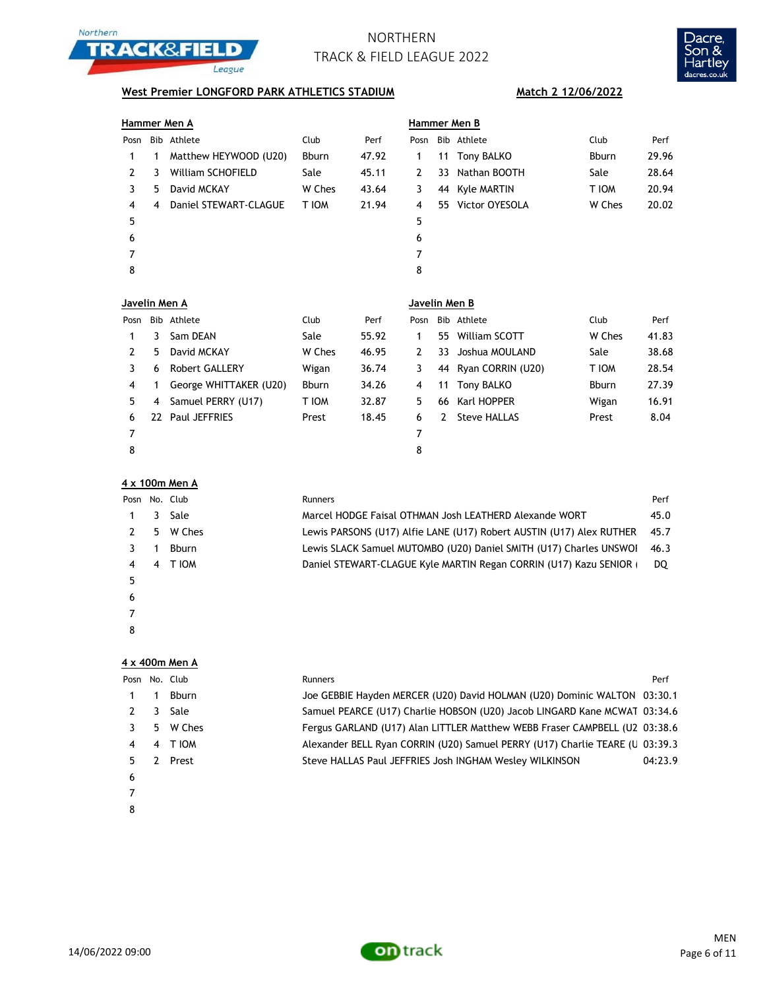



## **West Premier LONGFORD PARK ATHLETICS STADIUM** Match 2 12/06/2022

|               |    | Hammer Men A             |              |       | Hammer Men B   |               |                      |              |       |  |
|---------------|----|--------------------------|--------------|-------|----------------|---------------|----------------------|--------------|-------|--|
| Posn          |    | Bib Athlete              | Club         | Perf  | Posn           |               | Bib Athlete          | Club         | Perf  |  |
| 1             | 1  | Matthew HEYWOOD (U20)    | Bburn        | 47.92 | 1              | 11            | Tony BALKO           | <b>Bburn</b> | 29.96 |  |
| 2             | 3  | <b>William SCHOFIELD</b> | Sale         | 45.11 | $\overline{2}$ | 33            | Nathan BOOTH         | Sale         | 28.64 |  |
| 3             | 5  | David MCKAY              | W Ches       | 43.64 | 3              |               | 44 Kyle MARTIN       | T IOM        | 20.94 |  |
| 4             | 4  | Daniel STEWART-CLAGUE    | <b>NOI T</b> | 21.94 | 4              |               | 55 Victor OYESOLA    | W Ches       | 20.02 |  |
| 5             |    |                          |              |       | 5              |               |                      |              |       |  |
| 6             |    |                          |              |       | 6              |               |                      |              |       |  |
| 7             |    |                          |              |       | 7              |               |                      |              |       |  |
| 8             |    |                          |              |       | 8              |               |                      |              |       |  |
|               |    |                          |              |       |                |               |                      |              |       |  |
| Javelin Men A |    |                          |              |       | Javelin Men B  |               |                      |              |       |  |
| Posn          |    | Bib Athlete              | Club         | Perf  | Posn           |               | Bib Athlete          | Club         | Perf  |  |
| 1             | 3  | Sam DEAN                 | Sale         | 55.92 | 1              | 55            | William SCOTT        | W Ches       | 41.83 |  |
| 2             | 5  | David MCKAY              | W Ches       | 46.95 | 2              | 33            | Joshua MOULAND       | Sale         | 38.68 |  |
| 3             | 6  | Robert GALLERY           | Wigan        | 36.74 | 3              |               | 44 Ryan CORRIN (U20) | T IOM        | 28.54 |  |
| 4             | 1  | George WHITTAKER (U20)   | <b>Bburn</b> | 34.26 | 4              | 11            | Tony BALKO           | <b>Bburn</b> | 27.39 |  |
| 5             | 4  | Samuel PERRY (U17)       | <b>NOI T</b> | 32.87 | 5              | 66            | Karl HOPPER          | Wigan        | 16.91 |  |
| 6             | 22 | <b>Paul JEFFRIES</b>     | Prest        | 18.45 | 6              | $\mathcal{L}$ | <b>Steve HALLAS</b>  | Prest        | 8.04  |  |
| 7             |    |                          |              |       | 7              |               |                      |              |       |  |
| 8             |    |                          |              |       | 8              |               |                      |              |       |  |

### **4 x 100m Men A**

| Posn |    | No. Club | Runners                                                              | Perf |
|------|----|----------|----------------------------------------------------------------------|------|
|      | 3  | Sale     | Marcel HODGE Faisal OTHMAN Josh LEATHERD Alexande WORT               | 45.0 |
|      | 5. | W Ches   | Lewis PARSONS (U17) Alfie LANE (U17) Robert AUSTIN (U17) Alex RUTHER | 45.7 |
|      |    | Bburn    | Lewis SLACK Samuel MUTOMBO (U20) Daniel SMITH (U17) Charles UNSWOI   | 46.3 |
| 4    | 4  | T IOM    | Daniel STEWART-CLAGUE Kyle MARTIN Regan CORRIN (U17) Kazu SENIOR (   | DQ   |
| 5    |    |          |                                                                      |      |
| 6    |    |          |                                                                      |      |
|      |    |          |                                                                      |      |
| 8    |    |          |                                                                      |      |

### **4 x 400m Men A**

| Posn |    | No. Club | <b>Runners</b>                                                               | Perf    |
|------|----|----------|------------------------------------------------------------------------------|---------|
|      |    | Bburn    | Joe GEBBIE Hayden MERCER (U20) David HOLMAN (U20) Dominic WALTON 03:30.1     |         |
|      | 3  | Sale     | Samuel PEARCE (U17) Charlie HOBSON (U20) Jacob LINGARD Kane MCWAT 03:34.6    |         |
|      | 5. | W Ches   | Fergus GARLAND (U17) Alan LITTLER Matthew WEBB Fraser CAMPBELL (U2 03:38.6   |         |
| 4    | 4  | T IOM    | Alexander BELL Ryan CORRIN (U20) Samuel PERRY (U17) Charlie TEARE (U 03:39.3 |         |
|      |    | Prest    | Steve HALLAS Paul JEFFRIES Josh INGHAM Wesley WILKINSON                      | 04:23.9 |
| 6    |    |          |                                                                              |         |
|      |    |          |                                                                              |         |
| 8    |    |          |                                                                              |         |

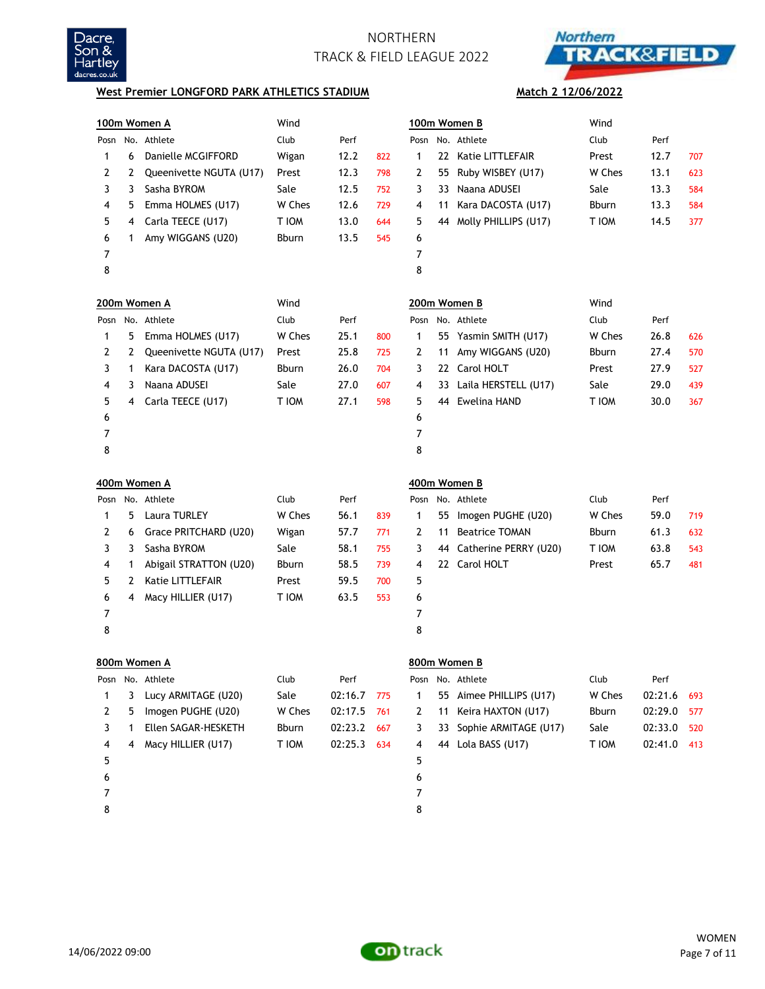



**Match 2 12/06/2022**

### **West Premier LONGFORD PARK ATHLETICS STADIUM**

|      | 100m Women A |                         | Wind         |         |     |                |    | 100m Women B          | Wind         |         |     |
|------|--------------|-------------------------|--------------|---------|-----|----------------|----|-----------------------|--------------|---------|-----|
|      |              | Posn No. Athlete        | Club         | Perf    |     |                |    | Posn No. Athlete      | Club         | Perf    |     |
| 1    | 6            | Danielle MCGIFFORD      | Wigan        | 12.2    | 822 | $\mathbf{1}$   | 22 | Katie LITTLEFAIR      | Prest        | 12.7    | 707 |
| 2    | 2            | Queenivette NGUTA (U17) | Prest        | 12.3    | 798 | 2              | 55 | Ruby WISBEY (U17)     | W Ches       | 13.1    | 623 |
| 3    | 3            | Sasha BYROM             | Sale         | 12.5    | 752 | 3              | 33 | Naana ADUSEI          | Sale         | 13.3    | 584 |
| 4    | 5            | Emma HOLMES (U17)       | W Ches       | 12.6    | 729 | 4              | 11 | Kara DACOSTA (U17)    | <b>Bburn</b> | 13.3    | 584 |
| 5    | 4            | Carla TEECE (U17)       | T IOM        | 13.0    | 644 | 5              | 44 | Molly PHILLIPS (U17)  | T IOM        | 14.5    | 377 |
| 6    | 1            | Amy WIGGANS (U20)       | <b>Bburn</b> | 13.5    | 545 | 6              |    |                       |              |         |     |
| 7    |              |                         |              |         |     | $\overline{7}$ |    |                       |              |         |     |
| 8    |              |                         |              |         |     | 8              |    |                       |              |         |     |
|      |              | 200m Women A            | Wind         |         |     |                |    | 200m Women B          | Wind         |         |     |
|      |              | Posn No. Athlete        | Club         | Perf    |     |                |    | Posn No. Athlete      | Club         | Perf    |     |
| 1    | 5            | Emma HOLMES (U17)       | W Ches       | 25.1    | 800 | 1              |    | 55 Yasmin SMITH (U17) | W Ches       | 26.8    | 626 |
| 2    | 2            | Queenivette NGUTA (U17) | Prest        | 25.8    | 725 | 2              | 11 | Amy WIGGANS (U20)     | Bburn        | 27.4    | 570 |
| 3    | 1            | Kara DACOSTA (U17)      | <b>Bburn</b> | 26.0    | 704 | 3              |    | 22 Carol HOLT         | Prest        | 27.9    | 527 |
| 4    | 3            | Naana ADUSEI            | Sale         | 27.0    | 607 | 4              | 33 | Laila HERSTELL (U17)  | Sale         | 29.0    | 439 |
| 5    | 4            | Carla TEECE (U17)       | T IOM        | 27.1    | 598 | 5              | 44 | <b>Ewelina HAND</b>   | T IOM        | 30.0    | 367 |
| 6    |              |                         |              |         |     | 6              |    |                       |              |         |     |
| 7    |              |                         |              |         |     | $\overline{7}$ |    |                       |              |         |     |
| 8    |              |                         |              |         |     | 8              |    |                       |              |         |     |
|      |              |                         |              |         |     |                |    |                       |              |         |     |
|      |              | 400m Women A            |              |         |     | 400m Women B   |    |                       |              |         |     |
| Posn |              | No. Athlete             | Club         | Perf    |     | Posn           |    | No. Athlete           | Club         | Perf    |     |
| 1    | 5            | Laura TURLEY            | W Ches       | 56.1    | 839 | 1              | 55 | Imogen PUGHE (U20)    | W Ches       | 59.0    | 719 |
| 2    | 6            | Grace PRITCHARD (U20)   | Wigan        | 57.7    | 771 | 2              | 11 | <b>Beatrice TOMAN</b> | Bburn        | 61.3    | 632 |
| 3    | 3            | Sasha BYROM             | Sale         | 58.1    | 755 | 3              | 44 | Catherine PERRY (U20) | T IOM        | 63.8    | 543 |
| 4    | 1            | Abigail STRATTON (U20)  | Bburn        | 58.5    | 739 | 4              |    | 22 Carol HOLT         | Prest        | 65.7    | 481 |
| 5    | 2            | Katie LITTLEFAIR        | Prest        | 59.5    | 700 | 5              |    |                       |              |         |     |
| 6    | 4            | Macy HILLIER (U17)      | T IOM        | 63.5    | 553 | 6              |    |                       |              |         |     |
| 7    |              |                         |              |         |     | 7              |    |                       |              |         |     |
| 8    |              |                         |              |         |     | 8              |    |                       |              |         |     |
|      |              | 800m Women A            |              |         |     |                |    | 800m Women B          |              |         |     |
| Posn |              | No. Athlete             | Club         | Perf    |     | Posn           |    | No. Athlete           | Club         | Perf    |     |
| 1    | 3            | Lucy ARMITAGE (U20)     | Sale         | 02:16.7 | 775 | 1              | 55 | Aimee PHILLIPS (U17)  | W Ches       | 02:21.6 | 693 |
| 2    | 5            | Imogen PUGHE (U20)      | W Ches       | 02:17.5 | 761 | 2              | 11 | Keira HAXTON (U17)    | Bburn        | 02:29.0 | 577 |
| 3    | 1            | Ellen SAGAR-HESKETH     | <b>Bburn</b> | 02:23.2 | 667 | 3              | 33 | Sophie ARMITAGE (U17) | Sale         | 02:33.0 | 520 |
| 4    | 4            | Macy HILLIER (U17)      | T IOM        | 02:25.3 | 634 | 4              |    | 44 Lola BASS (U17)    | T IOM        | 02:41.0 | 413 |
| 5    |              |                         |              |         |     | 5              |    |                       |              |         |     |
| 6    |              |                         |              |         |     | 6              |    |                       |              |         |     |
| 7    |              |                         |              |         |     | 7              |    |                       |              |         |     |

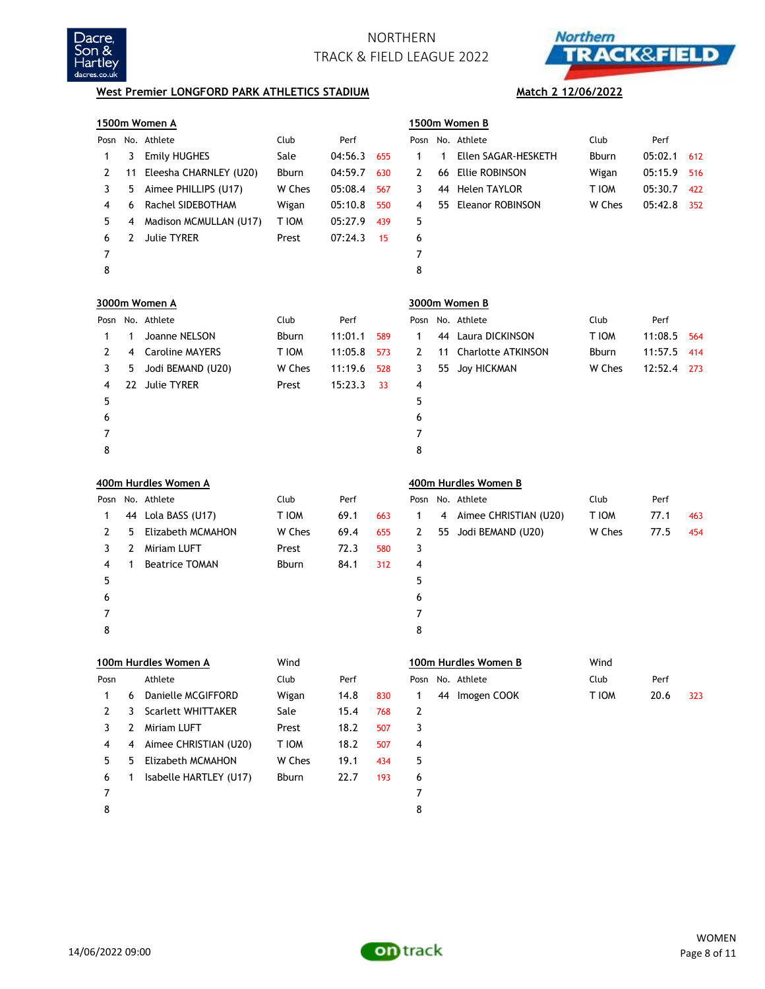



## **West Premier LONGFORD PARK ATHLETICS STADIUM Match 2 12/06/2022**

|      |    | 1500m Women A             |              |         |     |              |    | 1500m Women B             |              |         |     |
|------|----|---------------------------|--------------|---------|-----|--------------|----|---------------------------|--------------|---------|-----|
|      |    | Posn No. Athlete          | Club         | Perf    |     |              |    | Posn No. Athlete          | Club         | Perf    |     |
| 1    | 3  | <b>Emily HUGHES</b>       | Sale         | 04:56.3 | 655 | $\mathbf{1}$ | 1  | Ellen SAGAR-HESKETH       | <b>Bburn</b> | 05:02.1 | 612 |
| 2    | 11 | Eleesha CHARNLEY (U20)    | <b>Bburn</b> | 04:59.7 | 630 | 2            | 66 | <b>Ellie ROBINSON</b>     | Wigan        | 05:15.9 | 516 |
| 3    | 5  | Aimee PHILLIPS (U17)      | W Ches       | 05:08.4 | 567 | 3            | 44 | <b>Helen TAYLOR</b>       | T IOM        | 05:30.7 | 422 |
| 4    | 6  | Rachel SIDEBOTHAM         | Wigan        | 05:10.8 | 550 | 4            | 55 | <b>Eleanor ROBINSON</b>   | W Ches       | 05:42.8 | 352 |
| 5    | 4  | Madison MCMULLAN (U17)    | T IOM        | 05:27.9 | 439 | 5            |    |                           |              |         |     |
| 6    | 2  | <b>Julie TYRER</b>        | Prest        | 07:24.3 | 15  | 6            |    |                           |              |         |     |
| 7    |    |                           |              |         |     | 7            |    |                           |              |         |     |
| 8    |    |                           |              |         |     | 8            |    |                           |              |         |     |
|      |    | 3000m Women A             |              |         |     |              |    | 3000m Women B             |              |         |     |
|      |    | Posn No. Athlete          | Club         | Perf    |     | Posn         |    | No. Athlete               | Club         | Perf    |     |
| 1    | 1  | Joanne NELSON             | <b>Bburn</b> | 11:01.1 | 589 | 1            | 44 | Laura DICKINSON           | T IOM        | 11:08.5 | 564 |
| 2    | 4  | <b>Caroline MAYERS</b>    | T IOM        | 11:05.8 | 573 | 2            | 11 | <b>Charlotte ATKINSON</b> | <b>Bburn</b> | 11:57.5 | 414 |
| 3    | 5  | Jodi BEMAND (U20)         | W Ches       | 11:19.6 | 528 | 3            | 55 | <b>Joy HICKMAN</b>        | W Ches       | 12:52.4 | 273 |
| 4    |    | 22 Julie TYRER            | Prest        | 15:23.3 | 33  | 4            |    |                           |              |         |     |
| 5    |    |                           |              |         |     | 5            |    |                           |              |         |     |
| 6    |    |                           |              |         |     | 6            |    |                           |              |         |     |
| 7    |    |                           |              |         |     | 7            |    |                           |              |         |     |
| 8    |    |                           |              |         |     | 8            |    |                           |              |         |     |
|      |    |                           |              |         |     |              |    |                           |              |         |     |
|      |    | 400m Hurdles Women A      |              |         |     |              |    | 400m Hurdles Women B      |              |         |     |
| Posn |    | No. Athlete               | Club         | Perf    |     |              |    | Posn No. Athlete          | Club         | Perf    |     |
| 1    |    | 44 Lola BASS (U17)        | T IOM        | 69.1    | 663 | 1            | 4  | Aimee CHRISTIAN (U20)     | T IOM        | 77.1    | 463 |
| 2    | 5  | Elizabeth MCMAHON         | W Ches       | 69.4    | 655 | 2            | 55 | Jodi BEMAND (U20)         | W Ches       | 77.5    | 454 |
| 3    | 2  | Miriam LUFT               | Prest        | 72.3    | 580 | 3            |    |                           |              |         |     |
| 4    | 1  | <b>Beatrice TOMAN</b>     | Bburn        | 84.1    | 312 | 4            |    |                           |              |         |     |
| 5    |    |                           |              |         |     | 5            |    |                           |              |         |     |
| 6    |    |                           |              |         |     | 6            |    |                           |              |         |     |
| 7    |    |                           |              |         |     | 7            |    |                           |              |         |     |
| 8    |    |                           |              |         |     | 8            |    |                           |              |         |     |
|      |    | 100m Hurdles Women A      | Wind         |         |     |              |    | 100m Hurdles Women B      | Wind         |         |     |
| Posn |    | Athlete                   | Club         | Perf    |     |              |    | Posn No. Athlete          | Club         | Perf    |     |
| 1    | 6  | Danielle MCGIFFORD        | Wigan        | 14.8    | 830 | 1            |    | 44 Imogen COOK            | T IOM        | 20.6    | 323 |
| 2    | 3  | <b>Scarlett WHITTAKER</b> | Sale         | 15.4    | 768 | 2            |    |                           |              |         |     |
| 3    | 2  | Miriam LUFT               | Prest        | 18.2    | 507 | 3            |    |                           |              |         |     |
| 4    | 4  | Aimee CHRISTIAN (U20)     | T IOM        | 18.2    | 507 | 4            |    |                           |              |         |     |
| 5    | 5  | Elizabeth MCMAHON         | W Ches       | 19.1    | 434 | 5            |    |                           |              |         |     |
| 6    | 1  | Isabelle HARTLEY (U17)    | Bburn        | 22.7    | 193 | 6            |    |                           |              |         |     |



8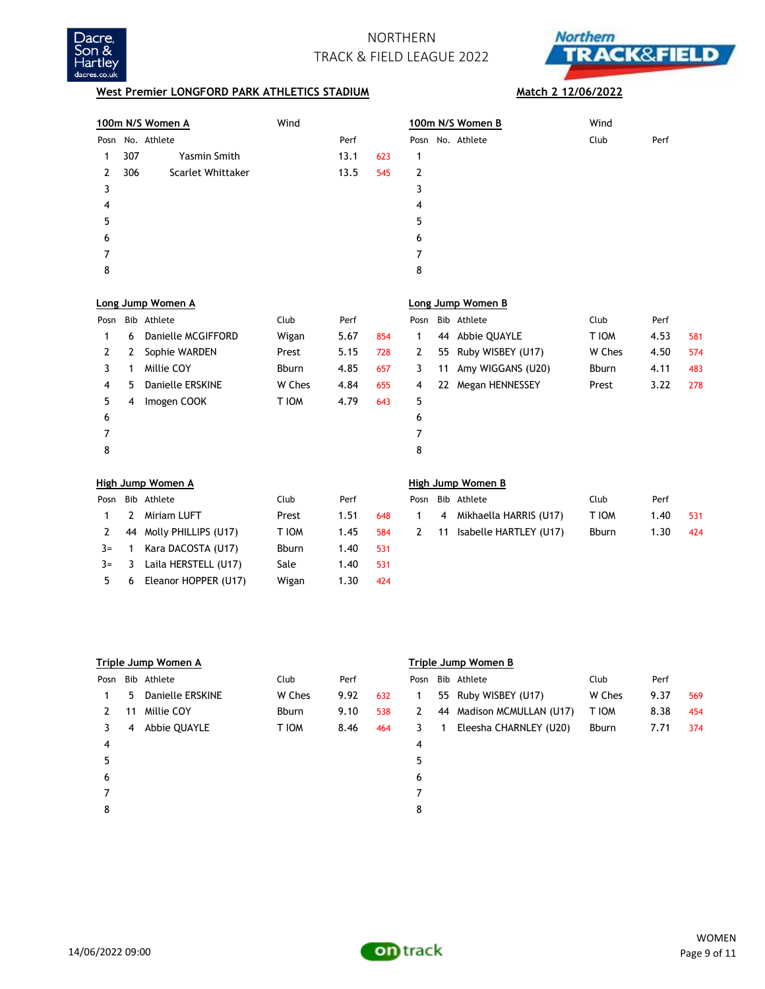



## **West Premier LONGFORD PARK ATHLETICS STADIUM Match 2 12/06/2022**

|      |     | 100m N/S Women A        | Wind         |      |     |      |    | 100m N/S Women B         | Wind   |      |     |
|------|-----|-------------------------|--------------|------|-----|------|----|--------------------------|--------|------|-----|
| Posn |     | No. Athlete             |              | Perf |     | Posn |    | No. Athlete              | Club   | Perf |     |
| 1    | 307 | <b>Yasmin Smith</b>     |              | 13.1 | 623 | 1    |    |                          |        |      |     |
| 2    | 306 | Scarlet Whittaker       |              | 13.5 | 545 | 2    |    |                          |        |      |     |
| 3    |     |                         |              |      |     | 3    |    |                          |        |      |     |
| 4    |     |                         |              |      |     | 4    |    |                          |        |      |     |
| 5    |     |                         |              |      |     | 5    |    |                          |        |      |     |
| 6    |     |                         |              |      |     | 6    |    |                          |        |      |     |
| 7    |     |                         |              |      |     | 7    |    |                          |        |      |     |
| 8    |     |                         |              |      |     | 8    |    |                          |        |      |     |
|      |     | Long Jump Women A       |              |      |     |      |    | Long Jump Women B        |        |      |     |
| Posn |     | <b>Bib Athlete</b>      | Club         | Perf |     | Posn |    | Bib Athlete              | Club   | Perf |     |
| 1    | 6   | Danielle MCGIFFORD      | Wigan        | 5.67 | 854 | 1    | 44 | Abbie QUAYLE             | T IOM  | 4.53 | 581 |
| 2    | 2   | Sophie WARDEN           | Prest        | 5.15 | 728 | 2    | 55 | Ruby WISBEY (U17)        | W Ches | 4.50 | 574 |
| 3    | 1   | Millie COY              | <b>Bburn</b> | 4.85 | 657 | 3    | 11 | Amy WIGGANS (U20)        | Bburn  | 4.11 | 483 |
| 4    | 5   | <b>Danielle ERSKINE</b> | W Ches       | 4.84 | 655 | 4    |    | 22 Megan HENNESSEY       | Prest  | 3.22 | 278 |
| 5    | 4   | Imogen COOK             | T IOM        | 4.79 | 643 | 5    |    |                          |        |      |     |
| 6    |     |                         |              |      |     | 6    |    |                          |        |      |     |
| 7    |     |                         |              |      |     | 7    |    |                          |        |      |     |
| 8    |     |                         |              |      |     | 8    |    |                          |        |      |     |
|      |     | High Jump Women A       |              |      |     |      |    | <b>High Jump Women B</b> |        |      |     |
| Posn |     | Bib Athlete             | Club         | Perf |     | Posn |    | Bib Athlete              | Club   | Perf |     |
| 1    | 2   | <b>Miriam LUFT</b>      | Prest        | 1.51 | 648 | 1    | 4  | Mikhaella HARRIS (U17)   | T IOM  | 1.40 | 531 |
| 2    | 44  | Molly PHILLIPS (U17)    | T IOM        | 1.45 | 584 | 2    | 11 | Isabelle HARTLEY (U17)   | Bburn  | 1.30 | 424 |
| $3=$ | 1   | Kara DACOSTA (U17)      | <b>Bburn</b> | 1.40 | 531 |      |    |                          |        |      |     |
| $3=$ | 3   | Laila HERSTELL (U17)    | Sale         | 1.40 | 531 |      |    |                          |        |      |     |
| 5    | 6   | Eleanor HOPPER (U17)    | Wigan        | 1.30 | 424 |      |    |                          |        |      |     |

|      | Triple Jump Women A |                         |              |      |     |      | Triple Jump Women B |                           |        |      |     |  |  |
|------|---------------------|-------------------------|--------------|------|-----|------|---------------------|---------------------------|--------|------|-----|--|--|
| Posn |                     | Bib Athlete             | Club         | Perf |     | Posn |                     | Bib Athlete               | Club   | Perf |     |  |  |
|      | 5.                  | <b>Danielle ERSKINE</b> | W Ches       | 9.92 | 632 | 1    |                     | 55 Ruby WISBEY (U17)      | W Ches | 9.37 | 569 |  |  |
| 2    | 11                  | Millie COY              | <b>Bburn</b> | 9.10 | 538 | 2    |                     | 44 Madison MCMULLAN (U17) | T IOM  | 8.38 | 454 |  |  |
| 3    | 4                   | Abbie QUAYLE            | T IOM        | 8.46 | 464 | 3    |                     | Eleesha CHARNLEY (U20)    | Bburn  | 7.71 | 374 |  |  |
| 4    |                     |                         |              |      |     | 4    |                     |                           |        |      |     |  |  |
| 5    |                     |                         |              |      |     | 5    |                     |                           |        |      |     |  |  |
| 6    |                     |                         |              |      |     | 6    |                     |                           |        |      |     |  |  |
|      |                     |                         |              |      |     |      |                     |                           |        |      |     |  |  |
| 8    |                     |                         |              |      |     | 8    |                     |                           |        |      |     |  |  |
|      |                     |                         |              |      |     |      |                     |                           |        |      |     |  |  |



14/06/2022 09:00

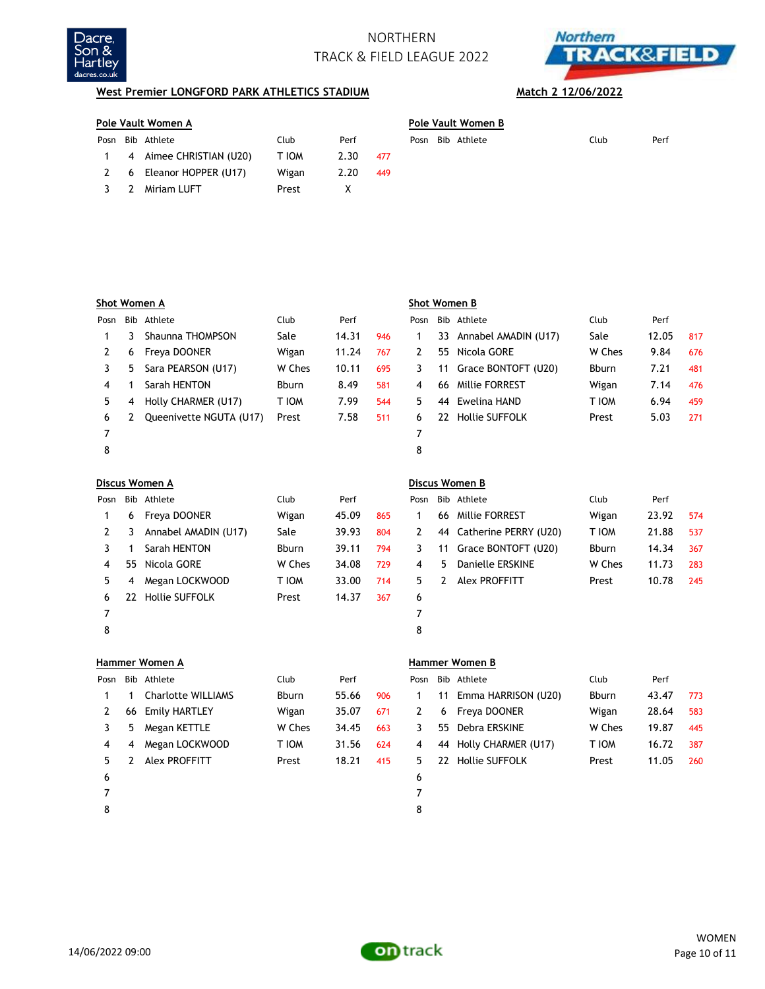



## **West Premier LONGFORD PARK ATHLETICS STADIUM Match 2 12/06/2022**

## **Pole Vault Women A Pole Vault Women B**

|              | Posn Bib Athlete         | Club  | Perf |       |  | Posn Bib Athlete | Club | Perf |
|--------------|--------------------------|-------|------|-------|--|------------------|------|------|
| $\mathbf{1}$ | 4 Aimee CHRISTIAN (U20)  | T IOM | 2.30 | - 477 |  |                  |      |      |
|              | 2 6 Eleanor HOPPER (U17) | Wigan | 2.20 | 449   |  |                  |      |      |
|              | 3 2 Miriam LUFT          | Prest |      |       |  |                  |      |      |
|              |                          |       |      |       |  |                  |      |      |

|   |  | Pole Vault Women B |      |      |
|---|--|--------------------|------|------|
|   |  | Posn Bib Athlete   | Club | Perf |
| 7 |  |                    |      |      |

| Shot Women A |    |                         |        |       |     |      | Shot Women B |                       |              |       |     |  |  |
|--------------|----|-------------------------|--------|-------|-----|------|--------------|-----------------------|--------------|-------|-----|--|--|
| Posn         |    | Bib Athlete             | Club   | Perf  |     | Posn |              | Bib Athlete           | Club         | Perf  |     |  |  |
|              | 3  | Shaunna THOMPSON        | Sale   | 14.31 | 946 |      | 33           | Annabel AMADIN (U17)  | Sale         | 12.05 | 817 |  |  |
|              | 6  | Freya DOONER            | Wigan  | 11.24 | 767 | 2    | 55           | Nicola GORE           | W Ches       | 9.84  | 676 |  |  |
|              | 5. | Sara PEARSON (U17)      | W Ches | 10.11 | 695 | 3    | 11           | Grace BONTOFT (U20)   | <b>Bburn</b> | 7.21  | 481 |  |  |
| 4            |    | Sarah HENTON            | Bburn  | 8.49  | 581 | 4    | 66           | <b>Millie FORREST</b> | Wigan        | 7.14  | 476 |  |  |
| 5.           | 4  | Holly CHARMER (U17)     | T IOM  | 7.99  | 544 | 5.   | 44           | Ewelina HAND          | T IOM        | 6.94  | 459 |  |  |
| 6            |    | Queenivette NGUTA (U17) | Prest  | 7.58  | 511 | 6.   | 22           | <b>Hollie SUFFOLK</b> | Prest        | 5.03  | 271 |  |  |
|              |    |                         |        |       |     |      |              |                       |              |       |     |  |  |
| 8            |    |                         |        |       |     | 8    |              |                       |              |       |     |  |  |

|      | Discus Women A |                       |              |       |     |    |    | Discus Women B           |              |       |     |  |  |  |
|------|----------------|-----------------------|--------------|-------|-----|----|----|--------------------------|--------------|-------|-----|--|--|--|
| Posn |                | Bib Athlete           | Club         | Perf  |     |    |    | Posn Bib Athlete         | Club         | Perf  |     |  |  |  |
|      | 6              | Freya DOONER          | Wigan        | 45.09 | 865 |    | 66 | Millie FORREST           | Wigan        | 23.92 | 574 |  |  |  |
| 2    | 3              | Annabel AMADIN (U17)  | Sale         | 39.93 | 804 | 2  |    | 44 Catherine PERRY (U20) | T IOM        | 21.88 | 537 |  |  |  |
|      |                | Sarah HENTON          | <b>Bburn</b> | 39.11 | 794 | 3  |    | 11 Grace BONTOFT (U20)   | <b>Bburn</b> | 14.34 | 367 |  |  |  |
| 4    | 55             | Nicola GORE           | W Ches       | 34.08 | 729 | 4  | 5. | Danielle ERSKINE         | W Ches       | 11.73 | 283 |  |  |  |
| 5.   | 4              | Megan LOCKWOOD        | T IOM        | 33.00 | 714 | 5. | 2  | Alex PROFFITT            | Prest        | 10.78 | 245 |  |  |  |
| 6    | 22.            | <b>Hollie SUFFOLK</b> | Prest        | 14.37 | 367 | 6  |    |                          |              |       |     |  |  |  |
| 7    |                |                       |              |       |     |    |    |                          |              |       |     |  |  |  |
| 8    |                |                       |              |       |     | 8  |    |                          |              |       |     |  |  |  |

|      | Hammer Women A |                           |              |       |     |      | Hammer Women B |                       |        |       |     |  |  |
|------|----------------|---------------------------|--------------|-------|-----|------|----------------|-----------------------|--------|-------|-----|--|--|
| Posn |                | Bib Athlete               | Club         | Perf  |     | Posn |                | Bib Athlete           | Club   | Perf  |     |  |  |
|      |                | <b>Charlotte WILLIAMS</b> | <b>Bburn</b> | 55.66 | 906 |      | 11             | Emma HARRISON (U20)   | Bburn  | 43.47 | 773 |  |  |
| 2    | 66             | <b>Emily HARTLEY</b>      | Wigan        | 35.07 | 671 | 2    | 6              | Freya DOONER          | Wigan  | 28.64 | 583 |  |  |
| 3    | 5              | Megan KETTLE              | W Ches       | 34.45 | 663 | 3.   | 55             | Debra ERSKINE         | W Ches | 19.87 | 445 |  |  |
| 4    | 4              | Megan LOCKWOOD            | T IOM        | 31.56 | 624 | 4    | 44             | Holly CHARMER (U17)   | T IOM  | 16.72 | 387 |  |  |
| 5.   |                | Alex PROFFITT             | Prest        | 18.21 | 415 | 5.   | 22             | <b>Hollie SUFFOLK</b> | Prest  | 11.05 | 260 |  |  |
| 6    |                |                           |              |       |     | 6    |                |                       |        |       |     |  |  |
|      |                |                           |              |       |     |      |                |                       |        |       |     |  |  |
| 8    |                |                           |              |       |     | 8    |                |                       |        |       |     |  |  |